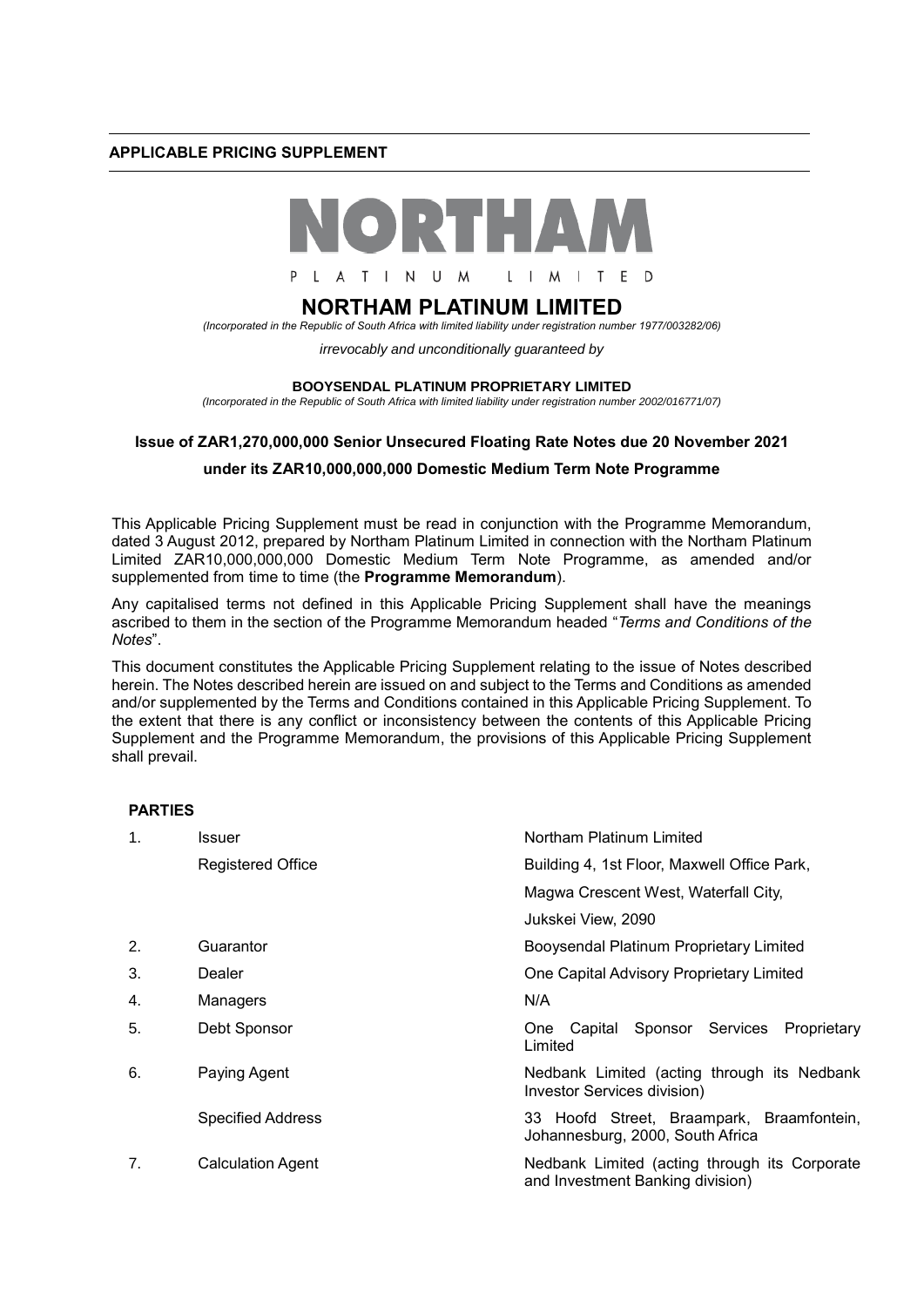### **APPLICABLE PRICING SUPPLEMENT**



# **NORTHAM PLATINUM LIMITED**

*(Incorporated in the Republic of South Africa with limited liability under registration number 1977/003282/06)*

*irrevocably and unconditionally guaranteed by* 

#### **BOOYSENDAL PLATINUM PROPRIETARY LIMITED**

*(Incorporated in the Republic of South Africa with limited liability under registration number 2002/016771/07)*

### **Issue of ZAR1,270,000,000 Senior Unsecured Floating Rate Notes due 20 November 2021**

## **under its ZAR10,000,000,000 Domestic Medium Term Note Programme**

This Applicable Pricing Supplement must be read in conjunction with the Programme Memorandum, dated 3 August 2012, prepared by Northam Platinum Limited in connection with the Northam Platinum Limited ZAR10,000,000,000 Domestic Medium Term Note Programme, as amended and/or supplemented from time to time (the **Programme Memorandum**).

Any capitalised terms not defined in this Applicable Pricing Supplement shall have the meanings ascribed to them in the section of the Programme Memorandum headed "*Terms and Conditions of the Notes*".

This document constitutes the Applicable Pricing Supplement relating to the issue of Notes described herein. The Notes described herein are issued on and subject to the Terms and Conditions as amended and/or supplemented by the Terms and Conditions contained in this Applicable Pricing Supplement. To the extent that there is any conflict or inconsistency between the contents of this Applicable Pricing Supplement and the Programme Memorandum, the provisions of this Applicable Pricing Supplement shall prevail.

### **PARTIES**

| $\mathbf 1$ . | Issuer                   | Northam Platinum Limited                                                          |  |
|---------------|--------------------------|-----------------------------------------------------------------------------------|--|
|               | <b>Registered Office</b> | Building 4, 1st Floor, Maxwell Office Park,                                       |  |
|               |                          | Magwa Crescent West, Waterfall City,                                              |  |
|               |                          | Jukskei View, 2090                                                                |  |
| 2.            | Guarantor                | Booysendal Platinum Proprietary Limited                                           |  |
| 3.            | Dealer                   | One Capital Advisory Proprietary Limited                                          |  |
| 4.            | Managers                 | N/A                                                                               |  |
| 5.            | Debt Sponsor             | One Capital Sponsor Services<br>Proprietary<br>Limited                            |  |
| 6.            | Paying Agent             | Nedbank Limited (acting through its Nedbank<br>Investor Services division)        |  |
|               | <b>Specified Address</b> | 33 Hoofd Street, Braampark, Braamfontein,<br>Johannesburg, 2000, South Africa     |  |
| 7.            | <b>Calculation Agent</b> | Nedbank Limited (acting through its Corporate<br>and Investment Banking division) |  |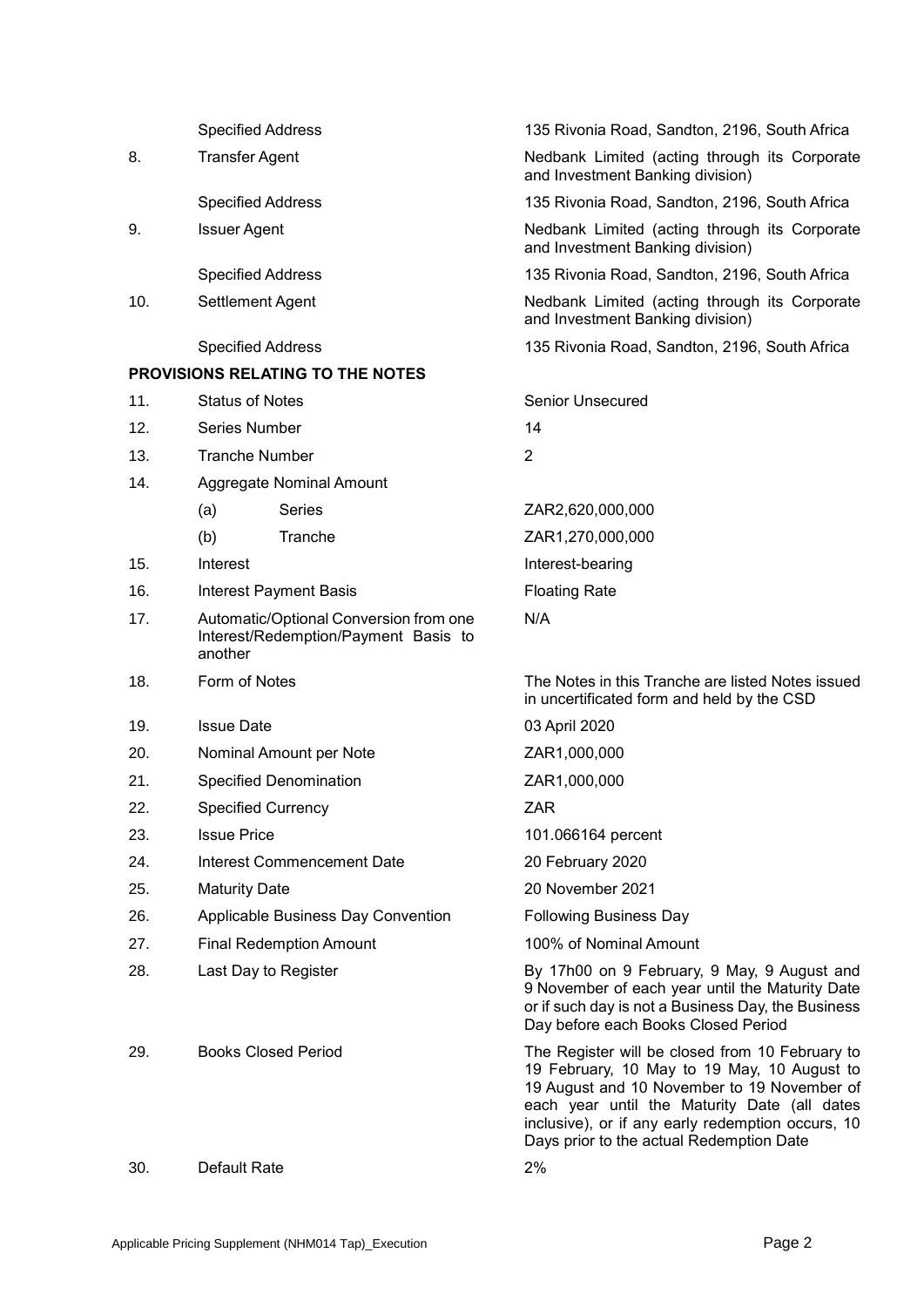|     | <b>Specified Address</b>                                                                  |                                         | 135 Rivonia Road, Sandton, 2196, South Africa                                                                                                                                                                                                                                                  |
|-----|-------------------------------------------------------------------------------------------|-----------------------------------------|------------------------------------------------------------------------------------------------------------------------------------------------------------------------------------------------------------------------------------------------------------------------------------------------|
| 8.  | <b>Transfer Agent</b>                                                                     |                                         | Nedbank Limited (acting through its Corporate<br>and Investment Banking division)                                                                                                                                                                                                              |
|     | <b>Specified Address</b>                                                                  |                                         | 135 Rivonia Road, Sandton, 2196, South Africa                                                                                                                                                                                                                                                  |
| 9.  | <b>Issuer Agent</b>                                                                       |                                         | Nedbank Limited (acting through its Corporate<br>and Investment Banking division)                                                                                                                                                                                                              |
|     | <b>Specified Address</b>                                                                  |                                         | 135 Rivonia Road, Sandton, 2196, South Africa                                                                                                                                                                                                                                                  |
| 10. | Settlement Agent                                                                          |                                         | Nedbank Limited (acting through its Corporate<br>and Investment Banking division)                                                                                                                                                                                                              |
|     | <b>Specified Address</b>                                                                  |                                         | 135 Rivonia Road, Sandton, 2196, South Africa                                                                                                                                                                                                                                                  |
|     |                                                                                           | <b>PROVISIONS RELATING TO THE NOTES</b> |                                                                                                                                                                                                                                                                                                |
| 11. | <b>Status of Notes</b>                                                                    |                                         | <b>Senior Unsecured</b>                                                                                                                                                                                                                                                                        |
| 12. | <b>Series Number</b>                                                                      |                                         | 14                                                                                                                                                                                                                                                                                             |
| 13. | <b>Tranche Number</b>                                                                     |                                         | $\overline{2}$                                                                                                                                                                                                                                                                                 |
| 14. |                                                                                           | Aggregate Nominal Amount                |                                                                                                                                                                                                                                                                                                |
|     | (a)                                                                                       | Series                                  | ZAR2,620,000,000                                                                                                                                                                                                                                                                               |
|     | (b)                                                                                       | Tranche                                 | ZAR1,270,000,000                                                                                                                                                                                                                                                                               |
| 15. | Interest                                                                                  |                                         | Interest-bearing                                                                                                                                                                                                                                                                               |
| 16. |                                                                                           | <b>Interest Payment Basis</b>           | <b>Floating Rate</b>                                                                                                                                                                                                                                                                           |
| 17. | Automatic/Optional Conversion from one<br>Interest/Redemption/Payment Basis to<br>another |                                         | N/A                                                                                                                                                                                                                                                                                            |
| 18. | Form of Notes                                                                             |                                         | The Notes in this Tranche are listed Notes issued<br>in uncertificated form and held by the CSD                                                                                                                                                                                                |
| 19. | <b>Issue Date</b>                                                                         |                                         | 03 April 2020                                                                                                                                                                                                                                                                                  |
| 20. |                                                                                           | Nominal Amount per Note                 | ZAR1,000,000                                                                                                                                                                                                                                                                                   |
| 21. |                                                                                           | <b>Specified Denomination</b>           | ZAR1,000,000                                                                                                                                                                                                                                                                                   |
| 22. | Specified Currency                                                                        |                                         | ZAR                                                                                                                                                                                                                                                                                            |
| 23. | <b>Issue Price</b>                                                                        |                                         | 101.066164 percent                                                                                                                                                                                                                                                                             |
| 24. | Interest Commencement Date                                                                |                                         | 20 February 2020                                                                                                                                                                                                                                                                               |
| 25. | <b>Maturity Date</b>                                                                      |                                         | 20 November 2021                                                                                                                                                                                                                                                                               |
| 26. | Applicable Business Day Convention                                                        |                                         | <b>Following Business Day</b>                                                                                                                                                                                                                                                                  |
| 27. | <b>Final Redemption Amount</b>                                                            |                                         | 100% of Nominal Amount                                                                                                                                                                                                                                                                         |
| 28. | Last Day to Register                                                                      |                                         | By 17h00 on 9 February, 9 May, 9 August and<br>9 November of each year until the Maturity Date<br>or if such day is not a Business Day, the Business<br>Day before each Books Closed Period                                                                                                    |
| 29. | <b>Books Closed Period</b>                                                                |                                         | The Register will be closed from 10 February to<br>19 February, 10 May to 19 May, 10 August to<br>19 August and 10 November to 19 November of<br>each year until the Maturity Date (all dates<br>inclusive), or if any early redemption occurs, 10<br>Days prior to the actual Redemption Date |
| 30. | Default Rate                                                                              |                                         | 2%                                                                                                                                                                                                                                                                                             |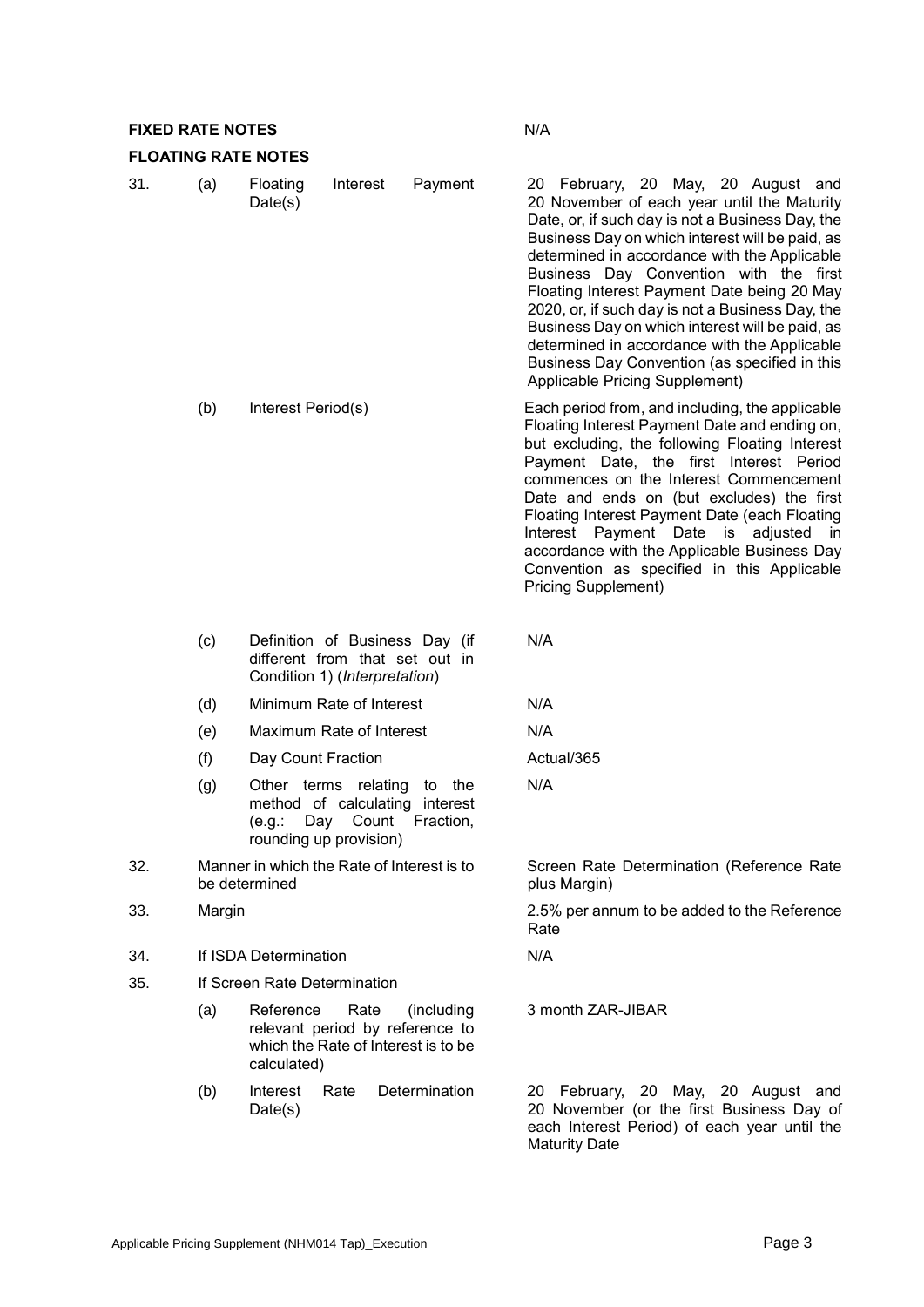# **FIXED RATE NOTES** N/A

## **FLOATING RATE NOTES**

| 31. | (a)    | Floating<br>Interest<br>Payment<br>Date(s)                                                                                        | 20 February, 20 May, 20 August and<br>20 November of each year until the Maturity<br>Date, or, if such day is not a Business Day, the<br>Business Day on which interest will be paid, as<br>determined in accordance with the Applicable<br>Business Day Convention with the first<br>Floating Interest Payment Date being 20 May<br>2020, or, if such day is not a Business Day, the<br>Business Day on which interest will be paid, as<br>determined in accordance with the Applicable<br>Business Day Convention (as specified in this<br>Applicable Pricing Supplement) |
|-----|--------|-----------------------------------------------------------------------------------------------------------------------------------|-----------------------------------------------------------------------------------------------------------------------------------------------------------------------------------------------------------------------------------------------------------------------------------------------------------------------------------------------------------------------------------------------------------------------------------------------------------------------------------------------------------------------------------------------------------------------------|
|     | (b)    | Interest Period(s)                                                                                                                | Each period from, and including, the applicable<br>Floating Interest Payment Date and ending on,<br>but excluding, the following Floating Interest<br>Payment Date, the first Interest Period<br>commences on the Interest Commencement<br>Date and ends on (but excludes) the first<br>Floating Interest Payment Date (each Floating<br>Interest Payment Date is<br>adjusted in<br>accordance with the Applicable Business Day<br>Convention as specified in this Applicable<br><b>Pricing Supplement)</b>                                                                 |
|     | (c)    | Definition of Business Day (if<br>different from that set out in<br>Condition 1) (Interpretation)                                 | N/A                                                                                                                                                                                                                                                                                                                                                                                                                                                                                                                                                                         |
|     | (d)    | Minimum Rate of Interest                                                                                                          | N/A                                                                                                                                                                                                                                                                                                                                                                                                                                                                                                                                                                         |
|     | (e)    | Maximum Rate of Interest                                                                                                          | N/A                                                                                                                                                                                                                                                                                                                                                                                                                                                                                                                                                                         |
|     | (f)    | Day Count Fraction                                                                                                                | Actual/365                                                                                                                                                                                                                                                                                                                                                                                                                                                                                                                                                                  |
|     | (g)    | Other terms relating<br>to the<br>method of calculating interest<br>Count<br>(e.g.:<br>Day<br>Fraction,<br>rounding up provision) | N/A                                                                                                                                                                                                                                                                                                                                                                                                                                                                                                                                                                         |
| 32. |        | Manner in which the Rate of Interest is to<br>be determined                                                                       | Screen Rate Determination (Reference Rate<br>plus Margin)                                                                                                                                                                                                                                                                                                                                                                                                                                                                                                                   |
| 33. | Margin |                                                                                                                                   | 2.5% per annum to be added to the Reference<br>Rate                                                                                                                                                                                                                                                                                                                                                                                                                                                                                                                         |
| 34. |        | If ISDA Determination                                                                                                             | N/A                                                                                                                                                                                                                                                                                                                                                                                                                                                                                                                                                                         |
| 35. |        | If Screen Rate Determination                                                                                                      |                                                                                                                                                                                                                                                                                                                                                                                                                                                                                                                                                                             |
|     | (a)    | Reference<br>Rate<br>(including<br>relevant period by reference to<br>which the Rate of Interest is to be<br>calculated)          | 3 month ZAR-JIBAR                                                                                                                                                                                                                                                                                                                                                                                                                                                                                                                                                           |
|     | (b)    | Interest<br>Determination<br>Rate<br>Date(s)                                                                                      | February, 20 May, 20 August and<br>20<br>20 November (or the first Business Day of<br>each Interest Period) of each year until the                                                                                                                                                                                                                                                                                                                                                                                                                                          |

Maturity Date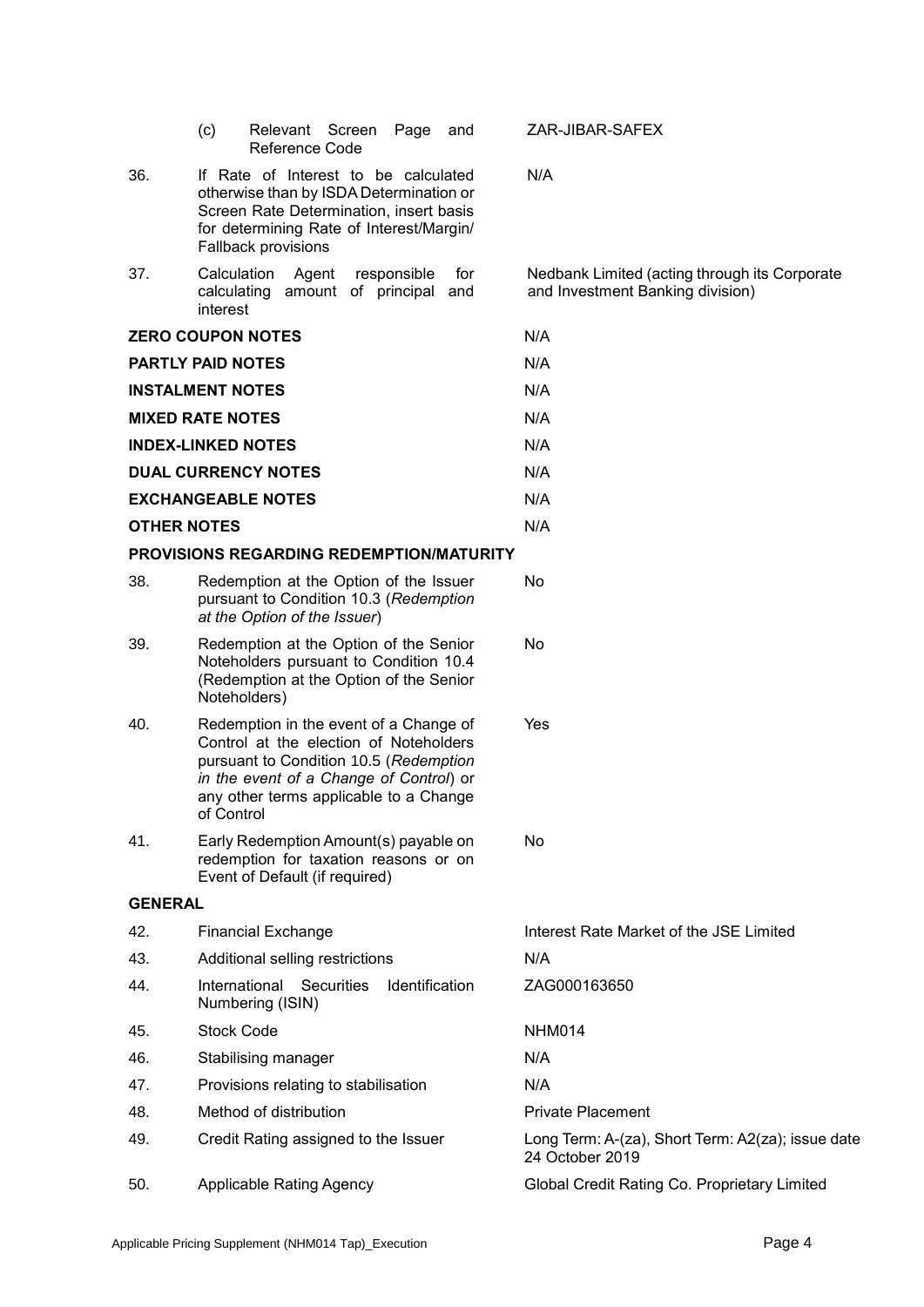|                    | (c)<br>Relevant Screen<br>Page<br>and<br>Reference Code                                                                                                                                                                       | ZAR-JIBAR-SAFEX                                                                   |
|--------------------|-------------------------------------------------------------------------------------------------------------------------------------------------------------------------------------------------------------------------------|-----------------------------------------------------------------------------------|
| 36.                | If Rate of Interest to be calculated<br>otherwise than by ISDA Determination or<br>Screen Rate Determination, insert basis<br>for determining Rate of Interest/Margin/<br>Fallback provisions                                 | N/A                                                                               |
| 37.                | Calculation<br>Agent<br>responsible<br>for<br>calculating amount of principal<br>and<br>interest                                                                                                                              | Nedbank Limited (acting through its Corporate<br>and Investment Banking division) |
|                    | <b>ZERO COUPON NOTES</b>                                                                                                                                                                                                      | N/A                                                                               |
|                    | <b>PARTLY PAID NOTES</b>                                                                                                                                                                                                      | N/A                                                                               |
|                    | <b>INSTALMENT NOTES</b>                                                                                                                                                                                                       | N/A                                                                               |
|                    | <b>MIXED RATE NOTES</b>                                                                                                                                                                                                       | N/A                                                                               |
|                    | <b>INDEX-LINKED NOTES</b>                                                                                                                                                                                                     | N/A                                                                               |
|                    | <b>DUAL CURRENCY NOTES</b>                                                                                                                                                                                                    | N/A                                                                               |
|                    | <b>EXCHANGEABLE NOTES</b>                                                                                                                                                                                                     | N/A                                                                               |
| <b>OTHER NOTES</b> |                                                                                                                                                                                                                               | N/A                                                                               |
|                    | PROVISIONS REGARDING REDEMPTION/MATURITY                                                                                                                                                                                      |                                                                                   |
| 38.                | Redemption at the Option of the Issuer<br>pursuant to Condition 10.3 (Redemption<br>at the Option of the Issuer)                                                                                                              | No.                                                                               |
| 39.                | Redemption at the Option of the Senior<br>Noteholders pursuant to Condition 10.4<br>(Redemption at the Option of the Senior<br>Noteholders)                                                                                   | No                                                                                |
| 40.                | Redemption in the event of a Change of<br>Control at the election of Noteholders<br>pursuant to Condition 10.5 (Redemption<br>in the event of a Change of Control) or<br>any other terms applicable to a Change<br>of Control | Yes                                                                               |
| 41.                | Early Redemption Amount(s) payable on<br>redemption for taxation reasons or on<br>Event of Default (if required)                                                                                                              | <b>No</b>                                                                         |
| <b>GENERAL</b>     |                                                                                                                                                                                                                               |                                                                                   |
| 42.                | <b>Financial Exchange</b>                                                                                                                                                                                                     | Interest Rate Market of the JSE Limited                                           |
| 43.                | Additional selling restrictions                                                                                                                                                                                               | N/A                                                                               |
| 44.                | International Securities<br>Identification<br>Numbering (ISIN)                                                                                                                                                                | ZAG000163650                                                                      |
| 45.                | <b>Stock Code</b>                                                                                                                                                                                                             | NHM014                                                                            |
| 46.                | Stabilising manager                                                                                                                                                                                                           | N/A                                                                               |
| 47.                | Provisions relating to stabilisation                                                                                                                                                                                          | N/A                                                                               |
| 48.                | Method of distribution                                                                                                                                                                                                        | <b>Private Placement</b>                                                          |
| 49.                | Credit Rating assigned to the Issuer                                                                                                                                                                                          | Long Term: A-(za), Short Term: A2(za); issue date<br>24 October 2019              |
| 50.                | <b>Applicable Rating Agency</b>                                                                                                                                                                                               | Global Credit Rating Co. Proprietary Limited                                      |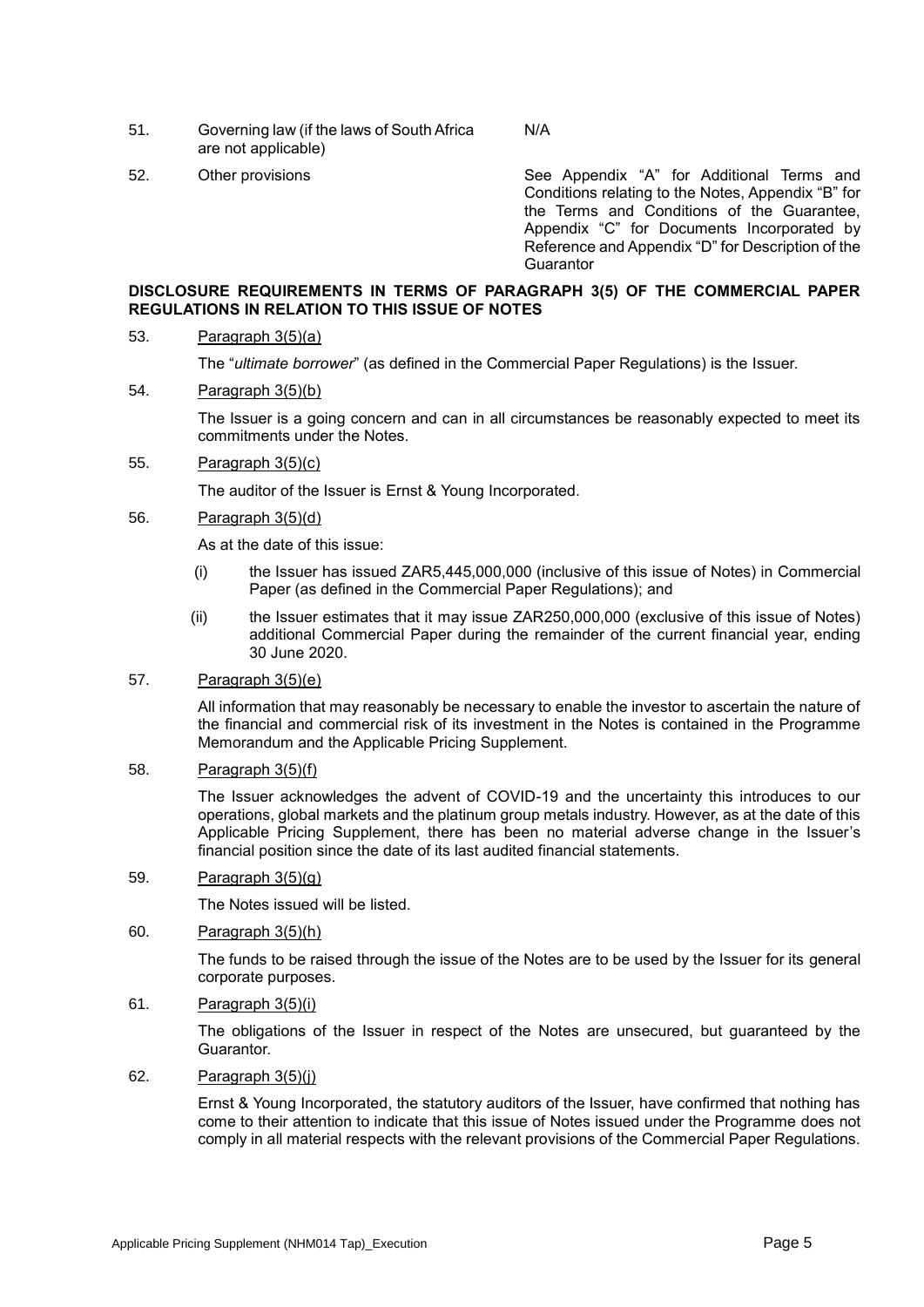- 51. Governing law (if the laws of South Africa are not applicable)
- 

52. Other provisions See Appendix "A" for Additional Terms and Conditions relating to the Notes, Appendix "B" for the Terms and Conditions of the Guarantee, Appendix "C" for Documents Incorporated by Reference and Appendix "D" for Description of the **Guarantor** 

## **DISCLOSURE REQUIREMENTS IN TERMS OF PARAGRAPH 3(5) OF THE COMMERCIAL PAPER REGULATIONS IN RELATION TO THIS ISSUE OF NOTES**

## 53. Paragraph 3(5)(a)

The "*ultimate borrower*" (as defined in the Commercial Paper Regulations) is the Issuer.

### 54. Paragraph 3(5)(b)

The Issuer is a going concern and can in all circumstances be reasonably expected to meet its commitments under the Notes.

N/A

### 55. Paragraph 3(5)(c)

The auditor of the Issuer is Ernst & Young Incorporated.

#### 56. Paragraph 3(5)(d)

As at the date of this issue:

- (i) the Issuer has issued ZAR5,445,000,000 (inclusive of this issue of Notes) in Commercial Paper (as defined in the Commercial Paper Regulations); and
- (ii) the Issuer estimates that it may issue ZAR250,000,000 (exclusive of this issue of Notes) additional Commercial Paper during the remainder of the current financial year, ending 30 June 2020.

# 57. Paragraph 3(5)(e)

All information that may reasonably be necessary to enable the investor to ascertain the nature of the financial and commercial risk of its investment in the Notes is contained in the Programme Memorandum and the Applicable Pricing Supplement.

### 58. Paragraph 3(5)(f)

The Issuer acknowledges the advent of COVID-19 and the uncertainty this introduces to our operations, global markets and the platinum group metals industry. However, as at the date of this Applicable Pricing Supplement, there has been no material adverse change in the Issuer's financial position since the date of its last audited financial statements.

# 59. Paragraph 3(5)(g)

The Notes issued will be listed.

## 60. Paragraph 3(5)(h)

The funds to be raised through the issue of the Notes are to be used by the Issuer for its general corporate purposes.

# 61. Paragraph 3(5)(i)

The obligations of the Issuer in respect of the Notes are unsecured, but guaranteed by the Guarantor.

### 62. Paragraph  $3(5)(i)$

Ernst & Young Incorporated, the statutory auditors of the Issuer, have confirmed that nothing has come to their attention to indicate that this issue of Notes issued under the Programme does not comply in all material respects with the relevant provisions of the Commercial Paper Regulations.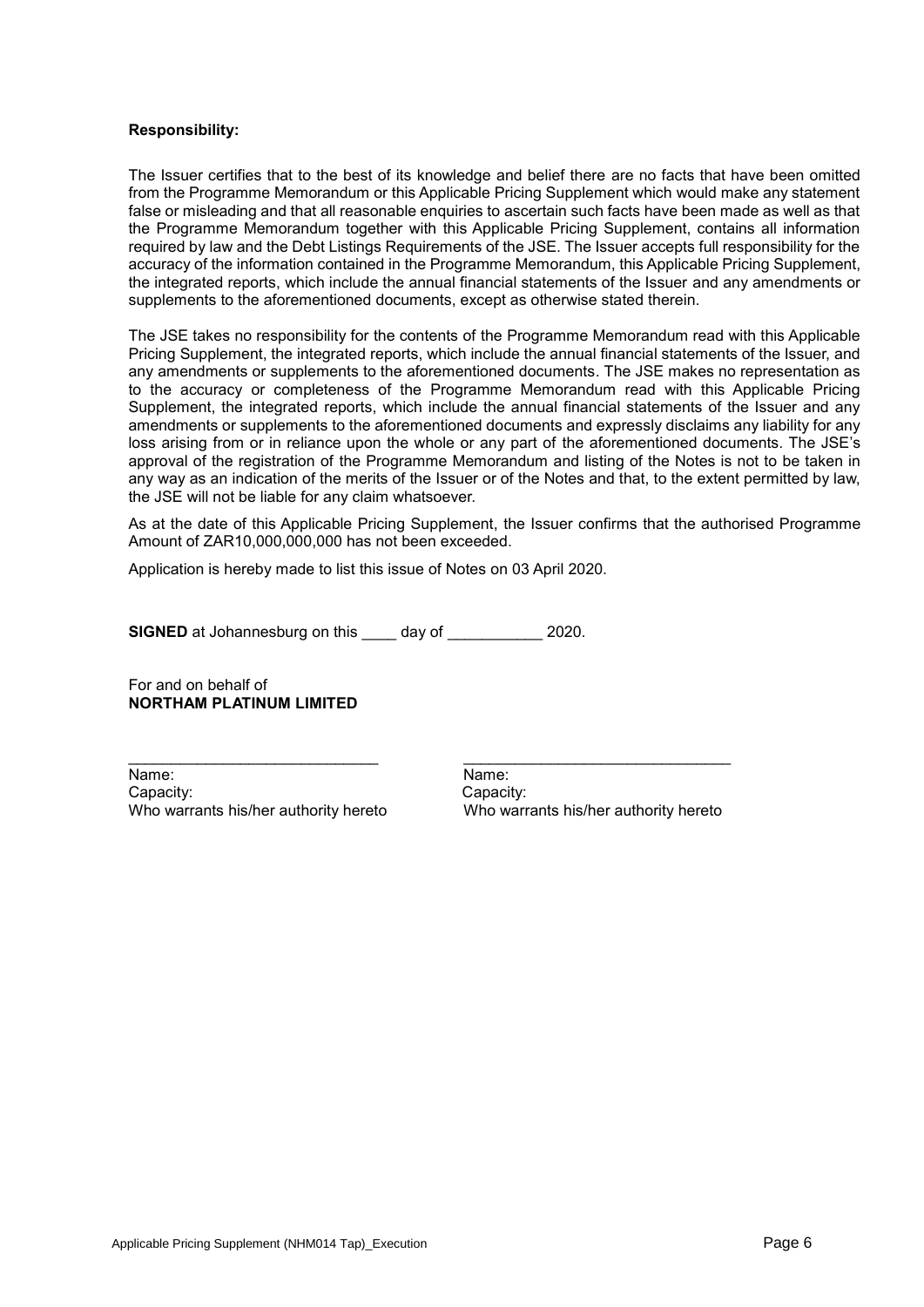### **Responsibility:**

The Issuer certifies that to the best of its knowledge and belief there are no facts that have been omitted from the Programme Memorandum or this Applicable Pricing Supplement which would make any statement false or misleading and that all reasonable enquiries to ascertain such facts have been made as well as that the Programme Memorandum together with this Applicable Pricing Supplement, contains all information required by law and the Debt Listings Requirements of the JSE. The Issuer accepts full responsibility for the accuracy of the information contained in the Programme Memorandum, this Applicable Pricing Supplement, the integrated reports, which include the annual financial statements of the Issuer and any amendments or supplements to the aforementioned documents, except as otherwise stated therein.

The JSE takes no responsibility for the contents of the Programme Memorandum read with this Applicable Pricing Supplement, the integrated reports, which include the annual financial statements of the Issuer, and any amendments or supplements to the aforementioned documents. The JSE makes no representation as to the accuracy or completeness of the Programme Memorandum read with this Applicable Pricing Supplement, the integrated reports, which include the annual financial statements of the Issuer and any amendments or supplements to the aforementioned documents and expressly disclaims any liability for any loss arising from or in reliance upon the whole or any part of the aforementioned documents. The JSE's approval of the registration of the Programme Memorandum and listing of the Notes is not to be taken in any way as an indication of the merits of the Issuer or of the Notes and that, to the extent permitted by law, the JSE will not be liable for any claim whatsoever.

As at the date of this Applicable Pricing Supplement, the Issuer confirms that the authorised Programme Amount of ZAR10,000,000,000 has not been exceeded.

Application is hereby made to list this issue of Notes on 03 April 2020.

**SIGNED** at Johannesburg on this \_\_\_\_ day of \_\_\_\_\_\_\_\_\_\_\_ 2020.

For and on behalf of **NORTHAM PLATINUM LIMITED**

Name: Name: Capacity: Capacity:

Who warrants his/her authority hereto Who warrants his/her authority hereto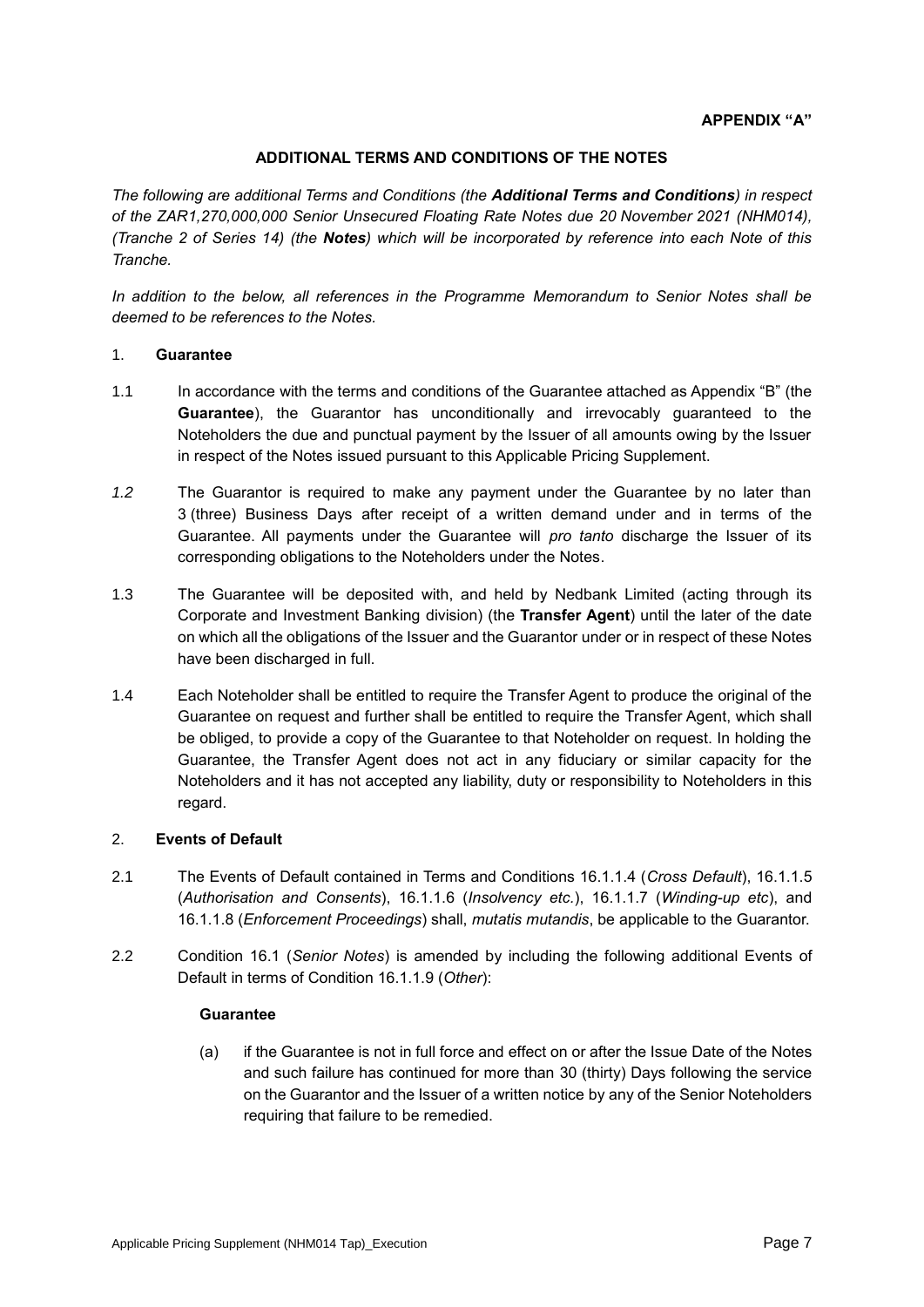# **ADDITIONAL TERMS AND CONDITIONS OF THE NOTES**

*The following are additional Terms and Conditions (the Additional Terms and Conditions) in respect of the ZAR1,270,000,000 Senior Unsecured Floating Rate Notes due 20 November 2021 (NHM014), (Tranche 2 of Series 14) (the Notes) which will be incorporated by reference into each Note of this Tranche.* 

*In addition to the below, all references in the Programme Memorandum to Senior Notes shall be deemed to be references to the Notes.*

## 1. **Guarantee**

- 1.1 In accordance with the terms and conditions of the Guarantee attached as Appendix "B" (the **Guarantee**), the Guarantor has unconditionally and irrevocably guaranteed to the Noteholders the due and punctual payment by the Issuer of all amounts owing by the Issuer in respect of the Notes issued pursuant to this Applicable Pricing Supplement.
- *1.2* The Guarantor is required to make any payment under the Guarantee by no later than 3 (three) Business Days after receipt of a written demand under and in terms of the Guarantee. All payments under the Guarantee will *pro tanto* discharge the Issuer of its corresponding obligations to the Noteholders under the Notes.
- 1.3 The Guarantee will be deposited with, and held by Nedbank Limited (acting through its Corporate and Investment Banking division) (the **Transfer Agent**) until the later of the date on which all the obligations of the Issuer and the Guarantor under or in respect of these Notes have been discharged in full.
- 1.4 Each Noteholder shall be entitled to require the Transfer Agent to produce the original of the Guarantee on request and further shall be entitled to require the Transfer Agent, which shall be obliged, to provide a copy of the Guarantee to that Noteholder on request. In holding the Guarantee, the Transfer Agent does not act in any fiduciary or similar capacity for the Noteholders and it has not accepted any liability, duty or responsibility to Noteholders in this regard.

# 2. **Events of Default**

- 2.1 The Events of Default contained in Terms and Conditions 16.1.1.4 (*Cross Default*), 16.1.1.5 (*Authorisation and Consents*), 16.1.1.6 (*Insolvency etc.*), 16.1.1.7 (*Winding-up etc*), and 16.1.1.8 (*Enforcement Proceedings*) shall, *mutatis mutandis*, be applicable to the Guarantor.
- 2.2 Condition 16.1 (*Senior Notes*) is amended by including the following additional Events of Default in terms of Condition 16.1.1.9 (*Other*):

### **Guarantee**

(a) if the Guarantee is not in full force and effect on or after the Issue Date of the Notes and such failure has continued for more than 30 (thirty) Days following the service on the Guarantor and the Issuer of a written notice by any of the Senior Noteholders requiring that failure to be remedied.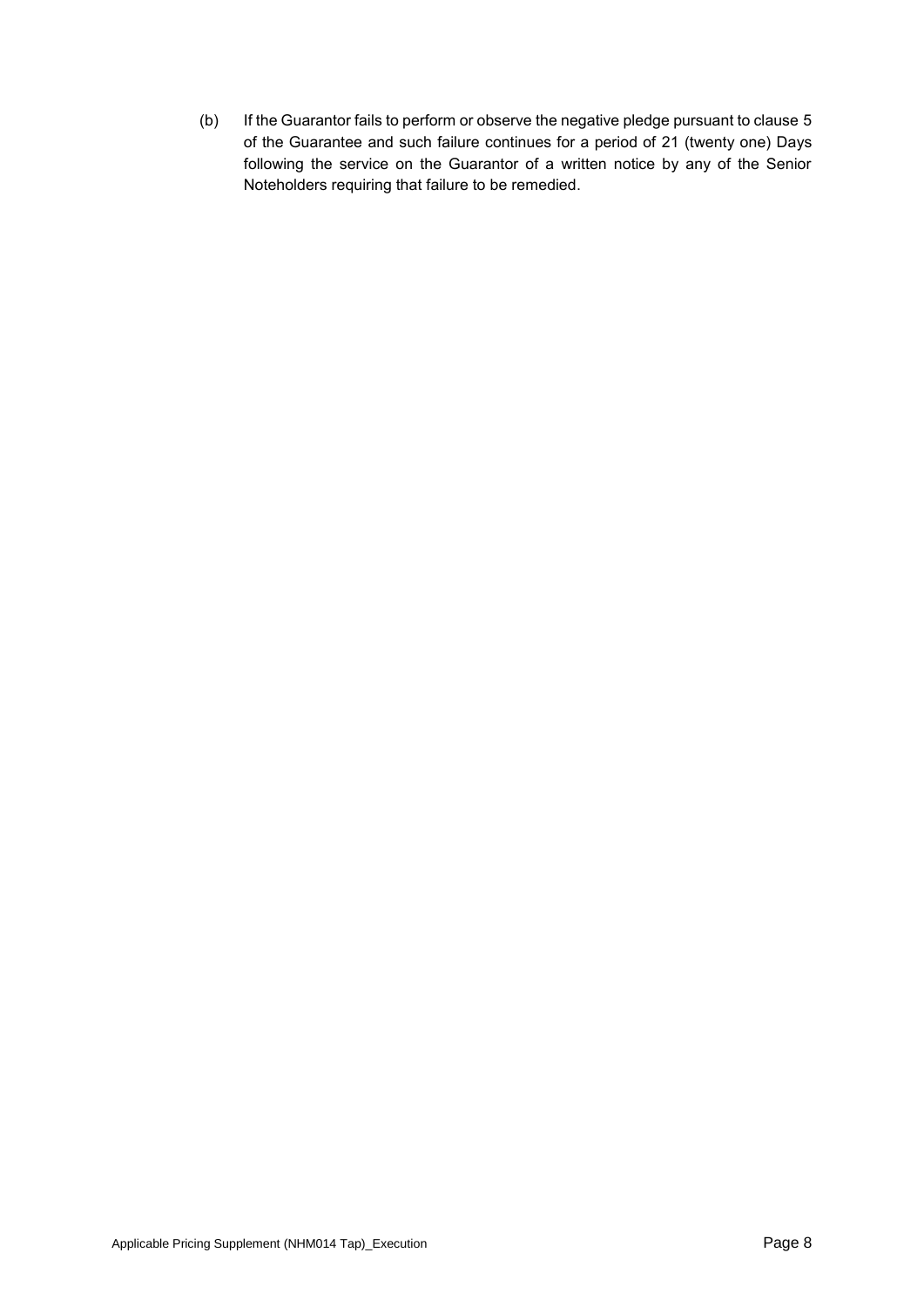(b) If the Guarantor fails to perform or observe the negative pledge pursuant to clause 5 of the Guarantee and such failure continues for a period of 21 (twenty one) Days following the service on the Guarantor of a written notice by any of the Senior Noteholders requiring that failure to be remedied.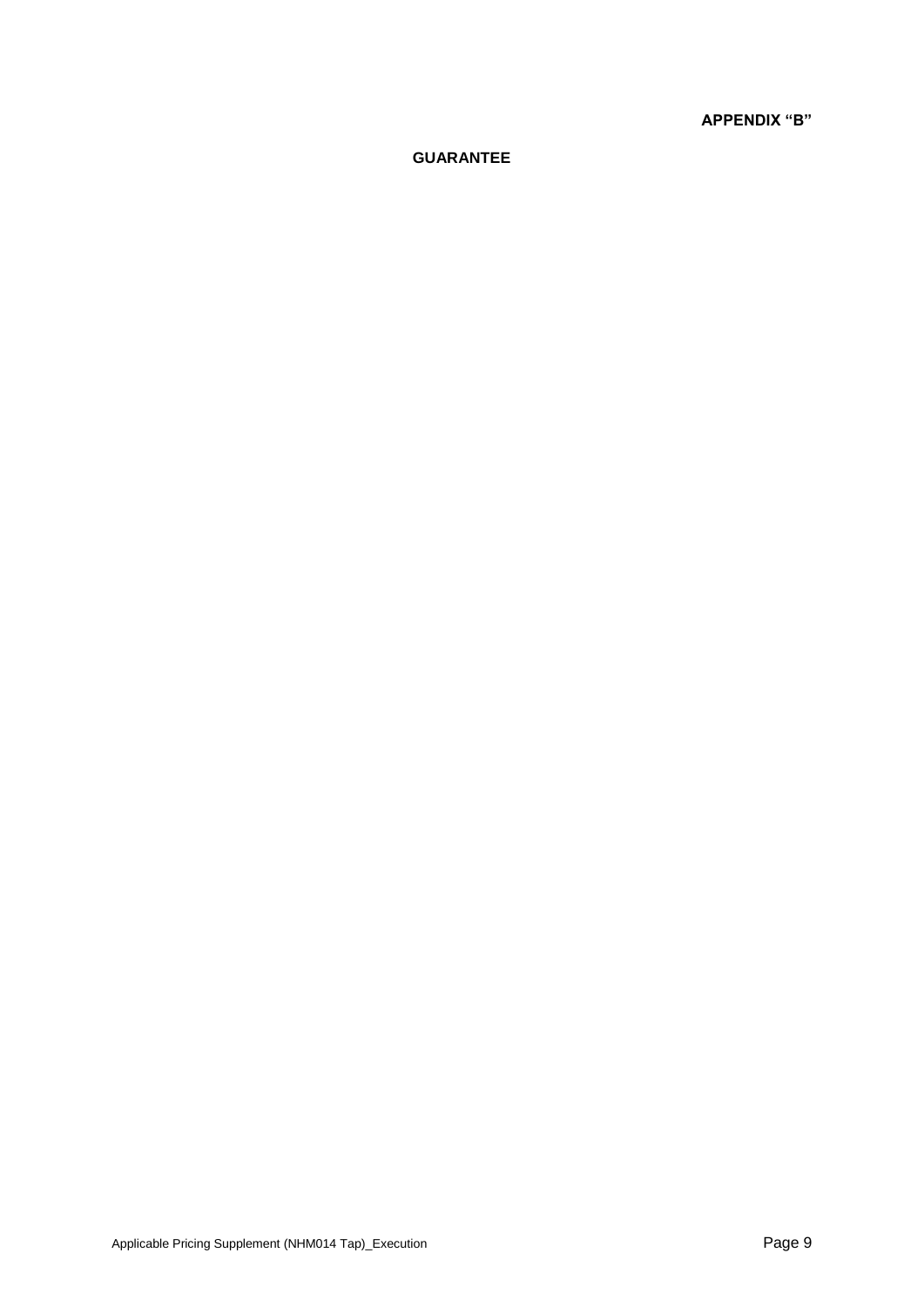**APPENDIX "B"**

# **GUARANTEE**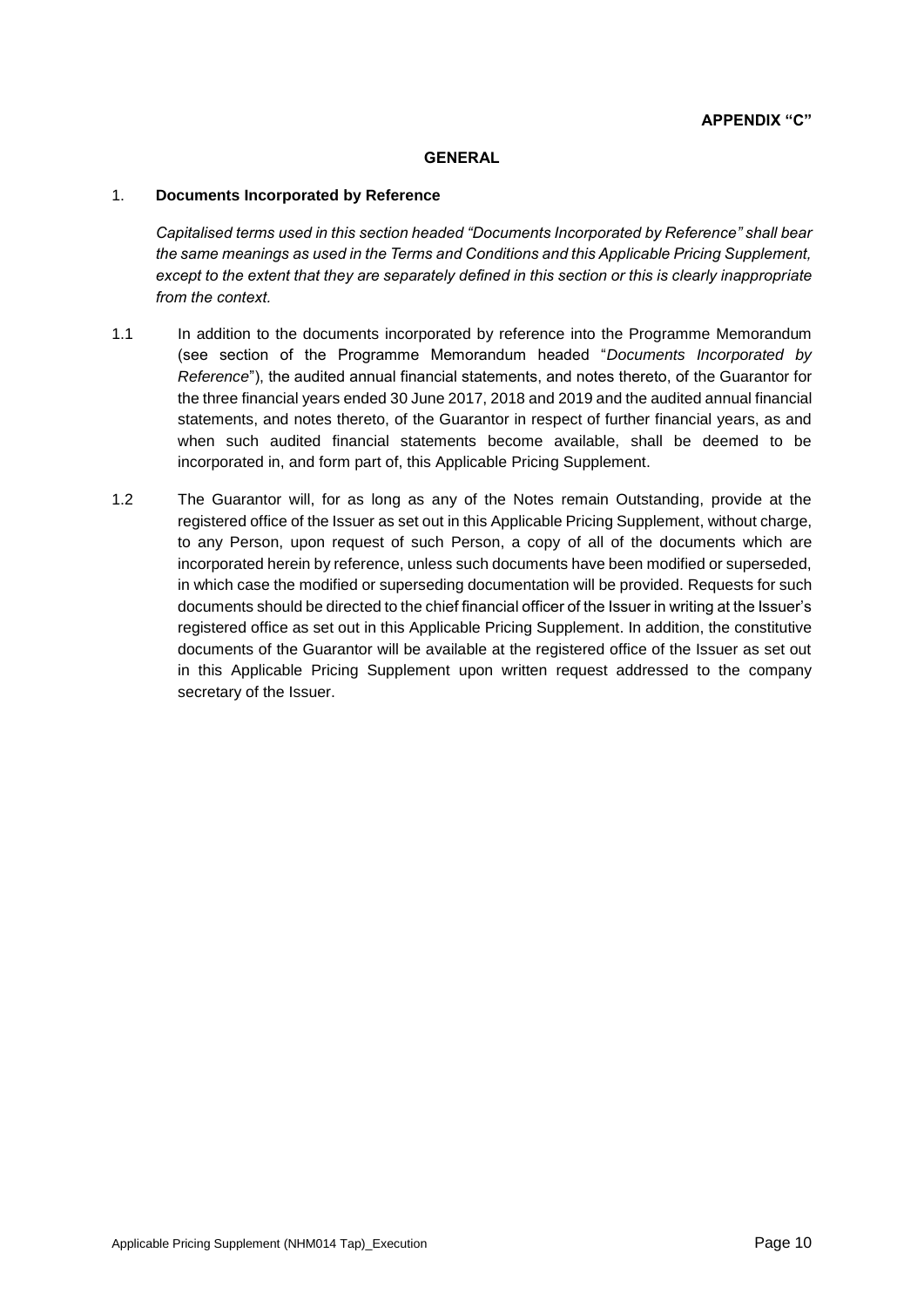## **GENERAL**

## 1. **Documents Incorporated by Reference**

*Capitalised terms used in this section headed "Documents Incorporated by Reference" shall bear the same meanings as used in the Terms and Conditions and this Applicable Pricing Supplement, except to the extent that they are separately defined in this section or this is clearly inappropriate from the context.*

- 1.1 In addition to the documents incorporated by reference into the Programme Memorandum (see section of the Programme Memorandum headed "*Documents Incorporated by Reference*"), the audited annual financial statements, and notes thereto, of the Guarantor for the three financial years ended 30 June 2017, 2018 and 2019 and the audited annual financial statements, and notes thereto, of the Guarantor in respect of further financial years, as and when such audited financial statements become available, shall be deemed to be incorporated in, and form part of, this Applicable Pricing Supplement.
- 1.2 The Guarantor will, for as long as any of the Notes remain Outstanding, provide at the registered office of the Issuer as set out in this Applicable Pricing Supplement, without charge, to any Person, upon request of such Person, a copy of all of the documents which are incorporated herein by reference, unless such documents have been modified or superseded, in which case the modified or superseding documentation will be provided. Requests for such documents should be directed to the chief financial officer of the Issuer in writing at the Issuer's registered office as set out in this Applicable Pricing Supplement. In addition, the constitutive documents of the Guarantor will be available at the registered office of the Issuer as set out in this Applicable Pricing Supplement upon written request addressed to the company secretary of the Issuer.